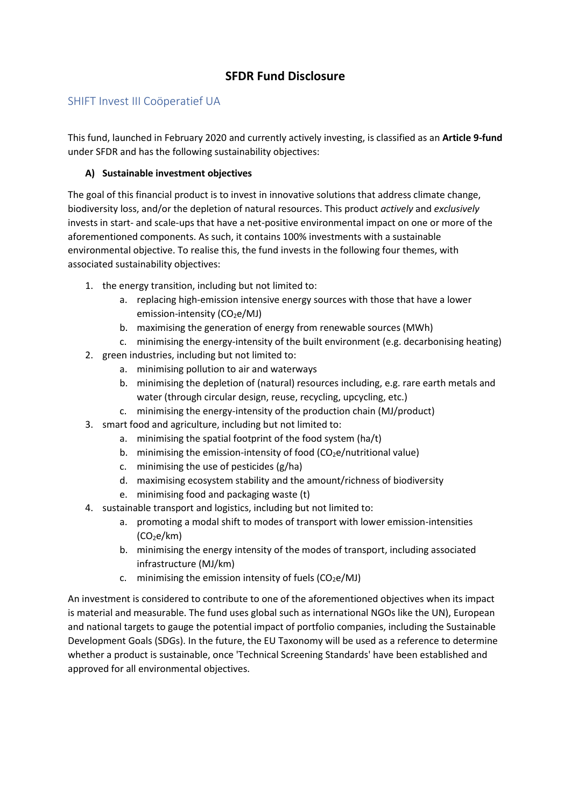# **SFDR Fund Disclosure**

# SHIFT Invest III Coöperatief UA

This fund, launched in February 2020 and currently actively investing, is classified as an **Article 9-fund**  under SFDR and has the following sustainability objectives:

## **A) Sustainable investment objectives**

The goal of this financial product is to invest in innovative solutions that address climate change, biodiversity loss, and/or the depletion of natural resources. This product *actively* and *exclusively* invests in start- and scale-ups that have a net-positive environmental impact on one or more of the aforementioned components. As such, it contains 100% investments with a sustainable environmental objective. To realise this, the fund invests in the following four themes, with associated sustainability objectives:

- 1. the energy transition, including but not limited to:
	- a. replacing high-emission intensive energy sources with those that have a lower emission-intensity (CO<sub>2</sub>e/MJ)
	- b. maximising the generation of energy from renewable sources (MWh)
	- c. minimising the energy-intensity of the built environment (e.g. decarbonising heating)
- 2. green industries, including but not limited to:
	- a. minimising pollution to air and waterways
	- b. minimising the depletion of (natural) resources including, e.g. rare earth metals and water (through circular design, reuse, recycling, upcycling, etc.)
	- c. minimising the energy-intensity of the production chain (MJ/product)
- 3. smart food and agriculture, including but not limited to:
	- a. minimising the spatial footprint of the food system (ha/t)
	- b. minimising the emission-intensity of food  $(CO_2e/nutriational value)$
	- c. minimising the use of pesticides (g/ha)
	- d. maximising ecosystem stability and the amount/richness of biodiversity
	- e. minimising food and packaging waste (t)
- 4. sustainable transport and logistics, including but not limited to:
	- a. promoting a modal shift to modes of transport with lower emission-intensities  $(CO<sub>2</sub>e/km)$
	- b. minimising the energy intensity of the modes of transport, including associated infrastructure (MJ/km)
	- c. minimising the emission intensity of fuels  $(CO_2e/MJ)$

An investment is considered to contribute to one of the aforementioned objectives when its impact is material and measurable. The fund uses global such as international NGOs like the UN), European and national targets to gauge the potential impact of portfolio companies, including the Sustainable Development Goals (SDGs). In the future, the EU Taxonomy will be used as a reference to determine whether a product is sustainable, once 'Technical Screening Standards' have been established and approved for all environmental objectives.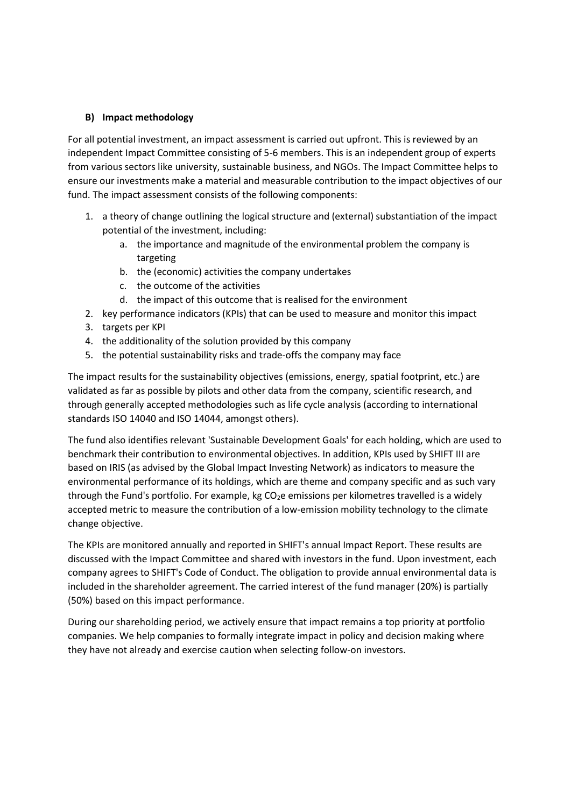#### **B) Impact methodology**

For all potential investment, an impact assessment is carried out upfront. This is reviewed by an independent Impact Committee consisting of 5-6 members. This is an independent group of experts from various sectors like university, sustainable business, and NGOs. The Impact Committee helps to ensure our investments make a material and measurable contribution to the impact objectives of our fund. The impact assessment consists of the following components:

- 1. a theory of change outlining the logical structure and (external) substantiation of the impact potential of the investment, including:
	- a. the importance and magnitude of the environmental problem the company is targeting
	- b. the (economic) activities the company undertakes
	- c. the outcome of the activities
	- d. the impact of this outcome that is realised for the environment
- 2. key performance indicators (KPIs) that can be used to measure and monitor this impact
- 3. targets per KPI
- 4. the additionality of the solution provided by this company
- 5. the potential sustainability risks and trade-offs the company may face

The impact results for the sustainability objectives (emissions, energy, spatial footprint, etc.) are validated as far as possible by pilots and other data from the company, scientific research, and through generally accepted methodologies such as life cycle analysis (according to international standards ISO 14040 and ISO 14044, amongst others).

The fund also identifies relevant 'Sustainable Development Goals' for each holding, which are used to benchmark their contribution to environmental objectives. In addition, KPIs used by SHIFT III are based on IRIS (as advised by the Global Impact Investing Network) as indicators to measure the environmental performance of its holdings, which are theme and company specific and as such vary through the Fund's portfolio. For example, kg CO<sub>2</sub>e emissions per kilometres travelled is a widely accepted metric to measure the contribution of a low-emission mobility technology to the climate change objective.

The KPIs are monitored annually and reported in SHIFT's annual Impact Report. These results are discussed with the Impact Committee and shared with investors in the fund. Upon investment, each company agrees to SHIFT's Code of Conduct. The obligation to provide annual environmental data is included in the shareholder agreement. The carried interest of the fund manager (20%) is partially (50%) based on this impact performance.

During our shareholding period, we actively ensure that impact remains a top priority at portfolio companies. We help companies to formally integrate impact in policy and decision making where they have not already and exercise caution when selecting follow-on investors.